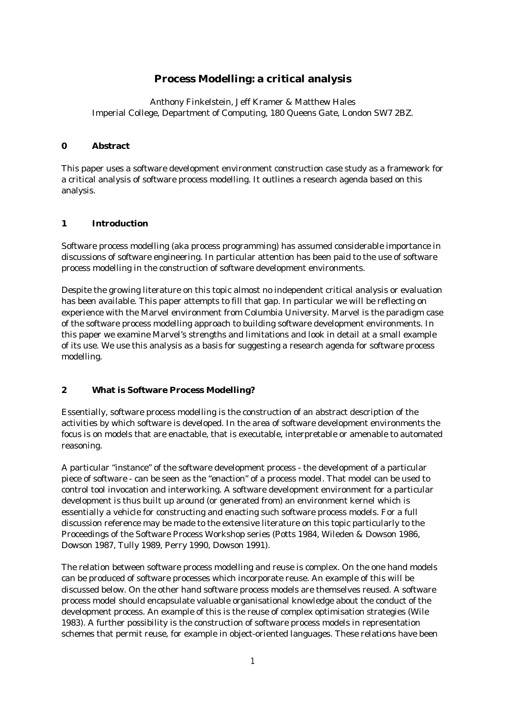# **Process Modelling: a critical analysis**

Anthony Finkelstein, Jeff Kramer & Matthew Hales Imperial College, Department of Computing, 180 Queens Gate, London SW7 2BZ.

#### **0 Abstract**

This paper uses a software development environment construction case study as a framework for a critical analysis of software process modelling. It outlines a research agenda based on this analysis.

#### **1 Introduction**

Software process modelling (aka process programming) has assumed considerable importance in discussions of software engineering. In particular attention has been paid to the use of software process modelling in the construction of software development environments.

Despite the growing literature on this topic almost no independent critical analysis or evaluation has been available. This paper attempts to fill that gap. In particular we will be reflecting on experience with the Marvel environment from Columbia University. Marvel is the paradigm case of the software process modelling approach to building software development environments. In this paper we examine Marvel's strengths and limitations and look in detail at a small example of its use. We use this analysis as a basis for suggesting a research agenda for software process modelling.

## **2 What is Software Process Modelling?**

Essentially, software process modelling is the construction of an abstract description of the activities by which software is developed. In the area of software development environments the focus is on models that are enactable, that is executable, interpretable or amenable to automated reasoning.

A particular "instance" of the software development process - the development of a particular piece of software - can be seen as the "enaction" of a process model. That model can be used to control tool invocation and interworking. A software development environment for a particular development is thus built up around (or generated from) an environment kernel which is essentially a vehicle for constructing and enacting such software process models. For a full discussion reference may be made to the extensive literature on this topic particularly to the Proceedings of the Software Process Workshop series (Potts 1984, Wileden & Dowson 1986, Dowson 1987, Tully 1989, Perry 1990, Dowson 1991).

The relation between software process modelling and reuse is complex. On the one hand models can be produced of software processes which incorporate reuse. An example of this will be discussed below. On the other hand software process models are themselves reused. A software process model should encapsulate valuable organisational knowledge about the conduct of the development process. An example of this is the reuse of complex optimisation strategies (Wile 1983). A further possibility is the construction of software process models in representation schemes that permit reuse, for example in object-oriented languages. These relations have been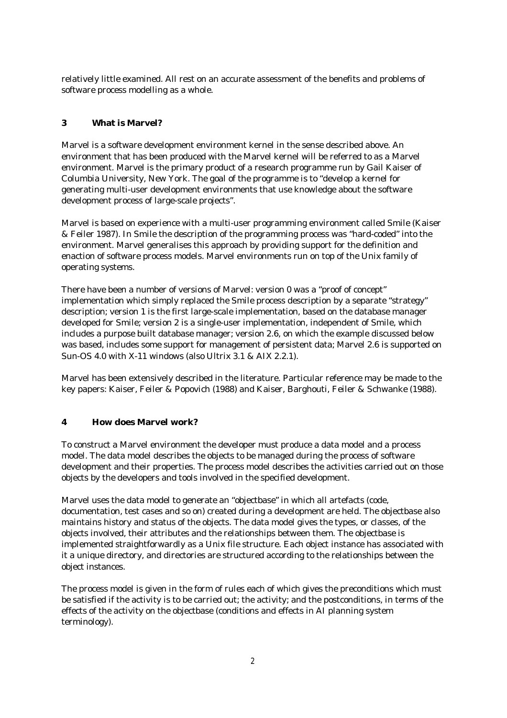relatively little examined. All rest on an accurate assessment of the benefits and problems of software process modelling as a whole.

# **3 What is Marvel?**

Marvel is a software development environment kernel in the sense described above. An environment that has been produced with the Marvel kernel will be referred to as a Marvel environment. Marvel is the primary product of a research programme run by Gail Kaiser of Columbia University, New York. The goal of the programme is to "develop a kernel for generating multi-user development environments that use knowledge about the software development process of large-scale projects".

Marvel is based on experience with a multi-user programming environment called Smile (Kaiser & Feiler 1987). In Smile the description of the programming process was "hard-coded" into the environment. Marvel generalises this approach by providing support for the definition and enaction of software process models. Marvel environments run on top of the Unix family of operating systems.

There have been a number of versions of Marvel: version 0 was a "proof of concept" implementation which simply replaced the Smile process description by a separate "strategy" description; version 1 is the first large-scale implementation, based on the database manager developed for Smile; version 2 is a single-user implementation, independent of Smile, which includes a purpose built database manager; version 2.6, on which the example discussed below was based, includes some support for management of persistent data; Marvel 2.6 is supported on Sun-OS 4.0 with X-11 windows (also Ultrix 3.1 & AIX 2.2.1).

Marvel has been extensively described in the literature. Particular reference may be made to the key papers: Kaiser, Feiler & Popovich (1988) and Kaiser, Barghouti, Feiler & Schwanke (1988).

## **4 How does Marvel work?**

To construct a Marvel environment the developer must produce a data model and a process model. The data model describes the objects to be managed during the process of software development and their properties. The process model describes the activities carried out on those objects by the developers and tools involved in the specified development.

Marvel uses the data model to generate an "objectbase" in which all artefacts (code, documentation, test cases and so on) created during a development are held. The objectbase also maintains history and status of the objects. The data model gives the types, or classes, of the objects involved, their attributes and the relationships between them. The objectbase is implemented straightforwardly as a Unix file structure. Each object instance has associated with it a unique directory, and directories are structured according to the relationships between the object instances.

The process model is given in the form of rules each of which gives the preconditions which must be satisfied if the activity is to be carried out; the activity; and the postconditions, in terms of the effects of the activity on the objectbase (conditions and effects in AI planning system terminology).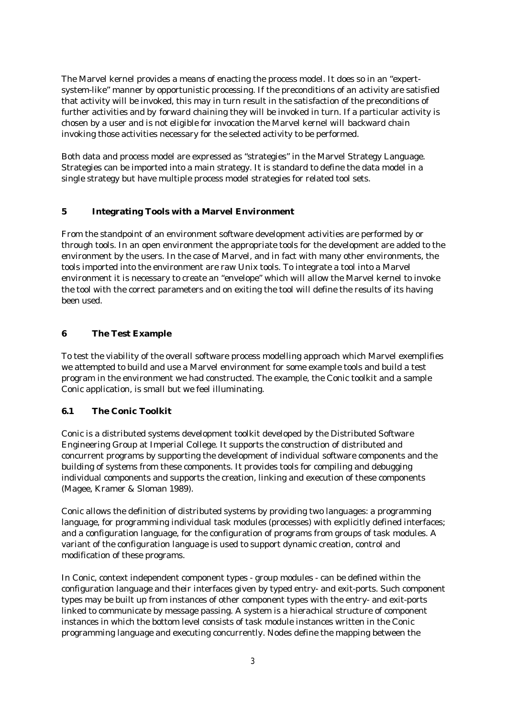The Marvel kernel provides a means of enacting the process model. It does so in an "expertsystem-like" manner by opportunistic processing. If the preconditions of an activity are satisfied that activity will be invoked, this may in turn result in the satisfaction of the preconditions of further activities and by *forward chaining* they will be invoked in turn. If a particular activity is chosen by a user and is not eligible for invocation the Marvel kernel will *backward chain* invoking those activities necessary for the selected activity to be performed.

Both data and process model are expressed as "strategies" in the Marvel Strategy Language. Strategies can be imported into a main strategy. It is standard to define the data model in a single strategy but have multiple process model strategies for related tool sets.

## **5 Integrating Tools with a Marvel Environment**

From the standpoint of an environment software development activities are performed by or through tools. In an open environment the appropriate tools for the development are added to the environment by the users. In the case of Marvel, and in fact with many other environments, the tools imported into the environment are raw Unix tools. To integrate a tool into a Marvel environment it is necessary to create an "envelope" which will allow the Marvel kernel to invoke the tool with the correct parameters and on exiting the tool will define the results of its having been used.

# **6 The Test Example**

To test the viability of the overall software process modelling approach which Marvel exemplifies we attempted to build and use a Marvel environment for some example tools and build a test program in the environment we had constructed. The example, the Conic toolkit and a sample Conic application, is small but we feel illuminating.

## **6.1 The Conic Toolkit**

Conic is a distributed systems development toolkit developed by the Distributed Software Engineering Group at Imperial College. It supports the construction of distributed and concurrent programs by supporting the development of individual software components and the building of systems from these components. It provides tools for compiling and debugging individual components and supports the creation, linking and execution of these components (Magee, Kramer & Sloman 1989).

Conic allows the definition of distributed systems by providing two languages: a programming language, for programming individual task modules (processes) with explicitly defined interfaces; and a configuration language, for the configuration of programs from groups of task modules. A variant of the configuration language is used to support dynamic creation, control and modification of these programs.

In Conic, context independent component types - group modules - can be defined within the configuration language and their interfaces given by typed entry- and exit-ports. Such component types may be built up from instances of other component types with the entry- and exit-ports linked to communicate by message passing. A system is a hierachical structure of component instances in which the bottom level consists of task module instances written in the Conic programming language and executing concurrently. Nodes define the mapping between the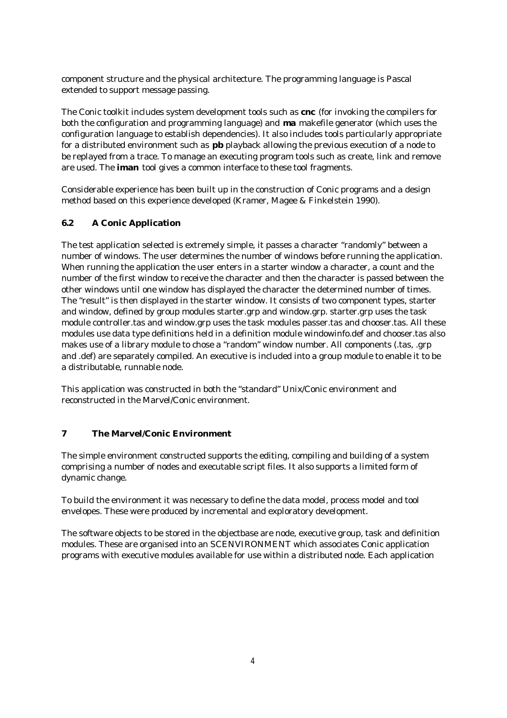component structure and the physical architecture. The programming language is Pascal extended to support message passing.

The Conic toolkit includes system development tools such as **cnc** (for invoking the compilers for both the configuration and programming language) and **ma** makefile generator (which uses the configuration language to establish dependencies). It also includes tools particularly appropriate for a distributed environment such as **pb** playback allowing the previous execution of a node to be replayed from a trace. To manage an executing program tools such as create, link and remove are used. The **iman** tool gives a common interface to these tool fragments.

Considerable experience has been built up in the construction of Conic programs and a design method based on this experience developed (Kramer, Magee & Finkelstein 1990).

# **6.2 A Conic Application**

The test application selected is extremely simple, it passes a character "randomly" between a number of windows. The user determines the number of windows before running the application. When running the application the user enters in a starter window a character, a count and the number of the first window to receive the character and then the character is passed between the other windows until one window has displayed the character the determined number of times. The "result" is then displayed in the starter window. It consists of two component types, starter and window, defined by group modules starter.grp and window.grp. starter.grp uses the task module controller.tas and window.grp uses the task modules passer.tas and chooser.tas. All these modules use data type definitions held in a definition module windowinfo.def and chooser.tas also makes use of a library module to chose a "random" window number. All components (.tas, .grp and .def) are separately compiled. An executive is included into a group module to enable it to be a distributable, runnable node.

This application was constructed in both the "standard" Unix/Conic environment and reconstructed in the Marvel/Conic environment.

## **7 The Marvel/Conic Environment**

The simple environment constructed supports the editing, compiling and building of a system comprising a number of nodes and executable script files. It also supports a limited form of dynamic change.

To build the environment it was necessary to define the data model, process model and tool envelopes. These were produced by incremental and exploratory development.

The software objects to be stored in the objectbase are node, executive group, task and definition modules. These are organised into an SCENVIRONMENT which associates Conic application programs with executive modules available for use within a distributed node. Each application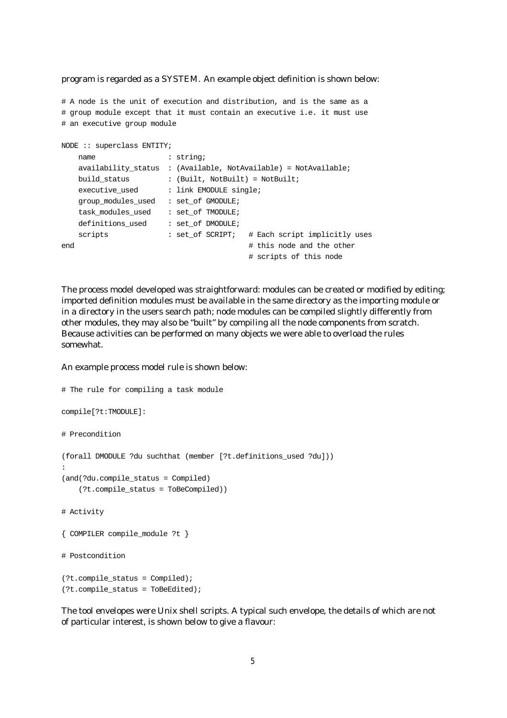program is regarded as a SYSTEM. An example object definition is shown below:

# A node is the unit of execution and distribution, and is the same as a # group module except that it must contain an executive i.e. it must use # an executive group module

```
NODE :: superclass ENTITY;
  name : string;
    availability_status : (Available, NotAvailable) = NotAvailable;
  build_status : (Built, NotBuilt) = NotBuilt;
   executive_used : link EMODULE single;
    group_modules_used : set_of GMODULE;
    task_modules_used : set_of TMODULE;
   definitions_used : set_of DMODULE;
    scripts : set_of SCRIPT; # Each script implicitly uses
end \qquad \qquad \qquad this node and the other
                                      # scripts of this node
```
The process model developed was straightforward: modules can be created or modified by editing; imported definition modules must be available in the same directory as the importing module or in a directory in the users search path; node modules can be compiled slightly differently from other modules, they may also be "built" by compiling all the node components from scratch. Because activities can be performed on many objects we were able to overload the rules somewhat.

#### An example process model rule is shown below:

```
# The rule for compiling a task module
compile[?t:TMODULE]:
# Precondition
(forall DMODULE ?du suchthat (member [?t.definitions_used ?du]))
:
(and(?du.compile_status = Compiled)
     (?t.compile_status = ToBeCompiled))
# Activity
{ COMPILER compile_module ?t }
# Postcondition
(?t.compile_status = Compiled);
(?t.compile_status = ToBeEdited);
```
The tool envelopes were Unix shell scripts. A typical such envelope, the details of which are not of particular interest, is shown below to give a flavour: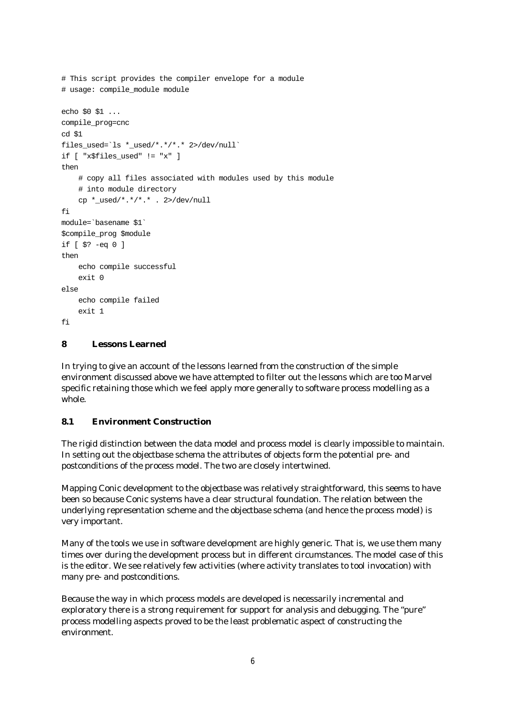```
# This script provides the compiler envelope for a module
# usage: compile_module module
echo $0 $1 ...
compile_prog=cnc
cd $1
files_used=`ls *_used/*.*/*.* 2>/dev/null`
if [ "x$files_used" != "x" ]
then
     # copy all files associated with modules used by this module
     # into module directory
    cp *_used/*.*/*.* . 2}>/dev/nullfi
module=`basename $1`
$compile_prog $module
if [ $? -eq 0 ]
then
     echo compile successful
     exit 0
else
     echo compile failed
     exit 1
f_i
```
#### **8 Lessons Learned**

In trying to give an account of the lessons learned from the construction of the simple environment discussed above we have attempted to filter out the lessons which are too Marvel specific retaining those which we feel apply more generally to software process modelling as a whole.

#### **8.1 Environment Construction**

The rigid distinction between the data model and process model is clearly impossible to maintain. In setting out the objectbase schema the attributes of objects form the potential pre- and postconditions of the process model. The two are closely intertwined.

Mapping Conic development to the objectbase was relatively straightforward, this seems to have been so because Conic systems have a clear structural foundation. The relation between the underlying representation scheme and the objectbase schema (and hence the process model) is very important.

Many of the tools we use in software development are highly generic. That is, we use them many times over during the development process but in different circumstances. The model case of this is the editor. We see relatively few activities (where activity translates to tool invocation) with many pre- and postconditions.

Because the way in which process models are developed is necessarily incremental and exploratory there is a strong requirement for support for analysis and debugging. The "pure" process modelling aspects proved to be the least problematic aspect of constructing the environment.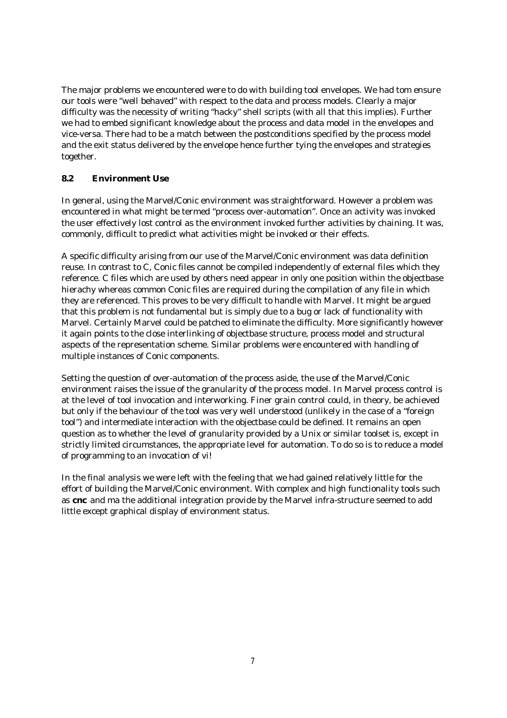The major problems we encountered were to do with building tool envelopes. We had tom ensure our tools were "well behaved" with respect to the data and process models. Clearly a major difficulty was the necessity of writing "hacky" shell scripts (with all that this implies). Further we had to embed significant knowledge about the process and data model in the envelopes and vice-versa. There had to be a match between the postconditions specified by the process model and the exit status delivered by the envelope hence further tying the envelopes and strategies together.

# **8.2 Environment Use**

In general, using the Marvel/Conic environment was straightforward. However a problem was encountered in what might be termed "process over-automation". Once an activity was invoked the user effectively lost control as the environment invoked further activities by chaining. It was, commonly, difficult to predict what activities might be invoked or their effects.

A specific difficulty arising from our use of the Marvel/Conic environment was data definition reuse. In contrast to C, Conic files cannot be compiled independently of external files which they reference. C files which are used by others need appear in only one position within the objectbase hierachy whereas common Conic files are required during the compilation of any file in which they are referenced. This proves to be very difficult to handle with Marvel. It might be argued that this problem is not fundamental but is simply due to a bug or lack of functionality with Marvel. Certainly Marvel could be patched to eliminate the difficulty. More significantly however it again points to the close interlinking of objectbase structure, process model and structural aspects of the representation scheme. Similar problems were encountered with handling of multiple instances of Conic components.

Setting the question of over-automation of the process aside, the use of the Marvel/Conic environment raises the issue of the granularity of the process model. In Marvel process control is at the level of tool invocation and interworking. Finer grain control could, in theory, be achieved but only if the behaviour of the tool was very well understood (unlikely in the case of a "foreign tool") and intermediate interaction with the objectbase could be defined. It remains an open question as to whether the level of granularity provided by a Unix or similar toolset is, except in strictly limited circumstances, the appropriate level for automation. To do so is to reduce a model of programming to an invocation of vi!

In the final analysis we were left with the feeling that we had gained relatively little for the effort of building the Marvel/Conic environment. With complex and high functionality tools such as **cnc** and ma the additional integration provide by the Marvel infra-structure seemed to add little except graphical display of environment status.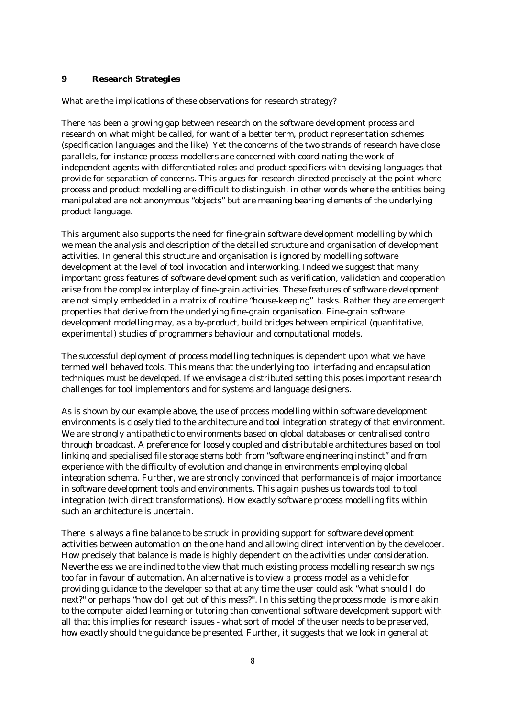#### **9 Research Strategies**

What are the implications of these observations for research strategy?

There has been a growing gap between research on the software development process and research on what might be called, for want of a better term, product representation schemes (specification languages and the like). Yet the concerns of the two strands of research have close parallels, for instance process modellers are concerned with coordinating the work of independent agents with differentiated roles and product specifiers with devising languages that provide for separation of concerns. This argues for research directed precisely at the point where process and product modelling are difficult to distinguish, in other words where the entities being manipulated are not anonymous "objects" but are meaning bearing elements of the underlying product language.

This argument also supports the need for fine-grain software development modelling by which we mean the analysis and description of the detailed structure and organisation of development activities. In general this structure and organisation is ignored by modelling software development at the level of tool invocation and interworking. Indeed we suggest that many important gross features of software development such as verification, validation and cooperation arise from the complex interplay of fine-grain activities. These features of software development are not simply embedded in a matrix of routine "house-keeping" tasks. Rather they are emergent properties that derive from the underlying fine-grain organisation. Fine-grain software development modelling may, as a by-product, build bridges between empirical (quantitative, experimental) studies of programmers behaviour and computational models.

The successful deployment of process modelling techniques is dependent upon what we have termed well behaved tools. This means that the underlying tool interfacing and encapsulation techniques must be developed. If we envisage a distributed setting this poses important research challenges for tool implementors and for systems and language designers.

As is shown by our example above, the use of process modelling within software development environments is closely tied to the architecture and tool integration strategy of that environment. We are strongly antipathetic to environments based on global databases or centralised control through broadcast. A preference for loosely coupled and distributable architectures based on tool linking and specialised file storage stems both from "software engineering instinct" and from experience with the difficulty of evolution and change in environments employing global integration schema. Further, we are strongly convinced that performance is of major importance in software development tools and environments. This again pushes us towards tool to tool integration (with direct transformations). How exactly software process modelling fits within such an architecture is uncertain.

There is always a fine balance to be struck in providing support for software development activities between automation on the one hand and allowing direct intervention by the developer. How precisely that balance is made is highly dependent on the activities under consideration. Nevertheless we are inclined to the view that much existing process modelling research swings too far in favour of automation. An alternative is to view a process model as a vehicle for providing guidance to the developer so that at any time the user could ask "what should I do next?" or perhaps "how do I get out of this mess?". In this setting the process model is more akin to the computer aided learning or tutoring than conventional software development support with all that this implies for research issues - what sort of model of the user needs to be preserved, how exactly should the guidance be presented. Further, it suggests that we look in general at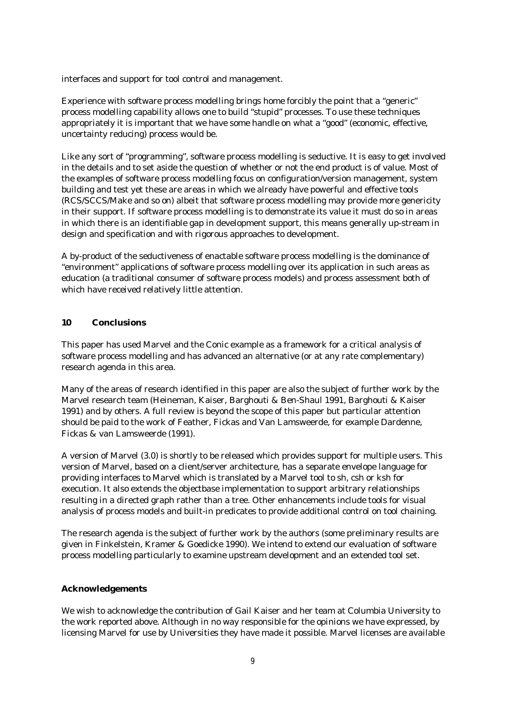interfaces and support for tool control and management.

Experience with software process modelling brings home forcibly the point that a "generic" process modelling capability allows one to build "stupid" processes. To use these techniques appropriately it is important that we have some handle on what a "good" (economic, effective, uncertainty reducing) process would be.

Like any sort of "programming", software process modelling is seductive. It is easy to get involved in the details and to set aside the question of whether or not the end product is of value. Most of the examples of software process modelling focus on configuration/version management, system building and test yet these are areas in which we already have powerful and effective tools (RCS/SCCS/Make and so on) albeit that software process modelling may provide more genericity in their support. If software process modelling is to demonstrate its value it must do so in areas in which there is an identifiable gap in development support, this means generally up-stream in design and specification and with rigorous approaches to development.

A by-product of the seductiveness of enactable software process modelling is the dominance of "environment" applications of software process modelling over its application in such areas as education (a traditional consumer of software process models) and process assessment both of which have received relatively little attention.

#### **10 Conclusions**

This paper has used Marvel and the Conic example as a framework for a critical analysis of software process modelling and has advanced an alternative (or at any rate complementary) research agenda in this area.

Many of the areas of research identified in this paper are also the subject of further work by the Marvel research team (Heineman, Kaiser, Barghouti & Ben-Shaul 1991, Barghouti & Kaiser 1991) and by others. A full review is beyond the scope of this paper but particular attention should be paid to the work of Feather, Fickas and Van Lamsweerde, for example Dardenne, Fickas & van Lamsweerde (1991).

A version of Marvel (3.0) is shortly to be released which provides support for multiple users. This version of Marvel, based on a client/server architecture, has a separate envelope language for providing interfaces to Marvel which is translated by a Marvel tool to sh, csh or ksh for execution. It also extends the objectbase implementation to support arbitrary relationships resulting in a directed graph rather than a tree. Other enhancements include tools for visual analysis of process models and built-in predicates to provide additional control on tool chaining.

The research agenda is the subject of further work by the authors (some preliminary results are given in Finkelstein, Kramer & Goedicke 1990). We intend to extend our evaluation of software process modelling particularly to examine upstream development and an extended tool set.

## **Acknowledgements**

We wish to acknowledge the contribution of Gail Kaiser and her team at Columbia University to the work reported above. Although in no way responsible for the opinions we have expressed, by licensing Marvel for use by Universities they have made it possible. Marvel licenses are available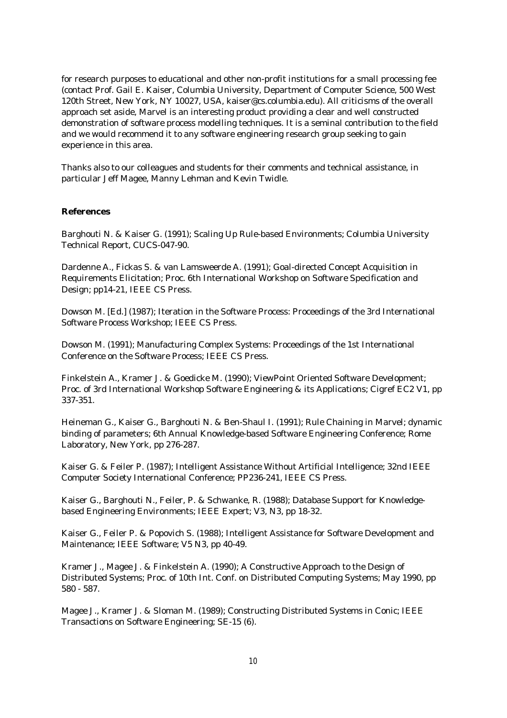for research purposes to educational and other non-profit institutions for a small processing fee (contact Prof. Gail E. Kaiser, Columbia University, Department of Computer Science, 500 West 120th Street, New York, NY 10027, USA, kaiser@cs.columbia.edu). All criticisms of the overall approach set aside, Marvel is an interesting product providing a clear and well constructed demonstration of software process modelling techniques. It is a seminal contribution to the field and we would recommend it to any software engineering research group seeking to gain experience in this area.

Thanks also to our colleagues and students for their comments and technical assistance, in particular Jeff Magee, Manny Lehman and Kevin Twidle.

#### **References**

Barghouti N. & Kaiser G. (1991); Scaling Up Rule-based Environments; Columbia University Technical Report, CUCS-047-90.

Dardenne A., Fickas S. & van Lamsweerde A. (1991); Goal-directed Concept Acquisition in Requirements Elicitation; Proc. 6th International Workshop on Software Specification and Design; pp14-21, IEEE CS Press.

Dowson M. [Ed.] (1987); Iteration in the Software Process: Proceedings of the 3rd International Software Process Workshop; IEEE CS Press.

Dowson M. (1991); Manufacturing Complex Systems: Proceedings of the 1st International Conference on the Software Process; IEEE CS Press.

Finkelstein A., Kramer J. & Goedicke M. (1990); ViewPoint Oriented Software Development; Proc. of 3rd International Workshop Software Engineering & its Applications; Cigref EC2 V1, pp 337-351.

Heineman G., Kaiser G., Barghouti N. & Ben-Shaul I. (1991); Rule Chaining in Marvel; dynamic binding of parameters; 6th Annual Knowledge-based Software Engineering Conference; Rome Laboratory, New York, pp 276-287.

Kaiser G. & Feiler P. (1987); Intelligent Assistance Without Artificial Intelligence; 32nd IEEE Computer Society International Conference; PP236-241, IEEE CS Press.

Kaiser G., Barghouti N., Feiler, P. & Schwanke, R. (1988); Database Support for Knowledgebased Engineering Environments; IEEE Expert; V3, N3, pp 18-32.

Kaiser G., Feiler P. & Popovich S. (1988); Intelligent Assistance for Software Development and Maintenance; IEEE Software; V5 N3, pp 40-49.

Kramer J., Magee J. & Finkelstein A. (1990); A Constructive Approach to the Design of Distributed Systems; Proc. of 10th Int. Conf. on Distributed Computing Systems; May 1990, pp 580 - 587.

Magee J., Kramer J. & Sloman M. (1989); Constructing Distributed Systems in Conic; IEEE Transactions on Software Engineering; SE-15 (6).